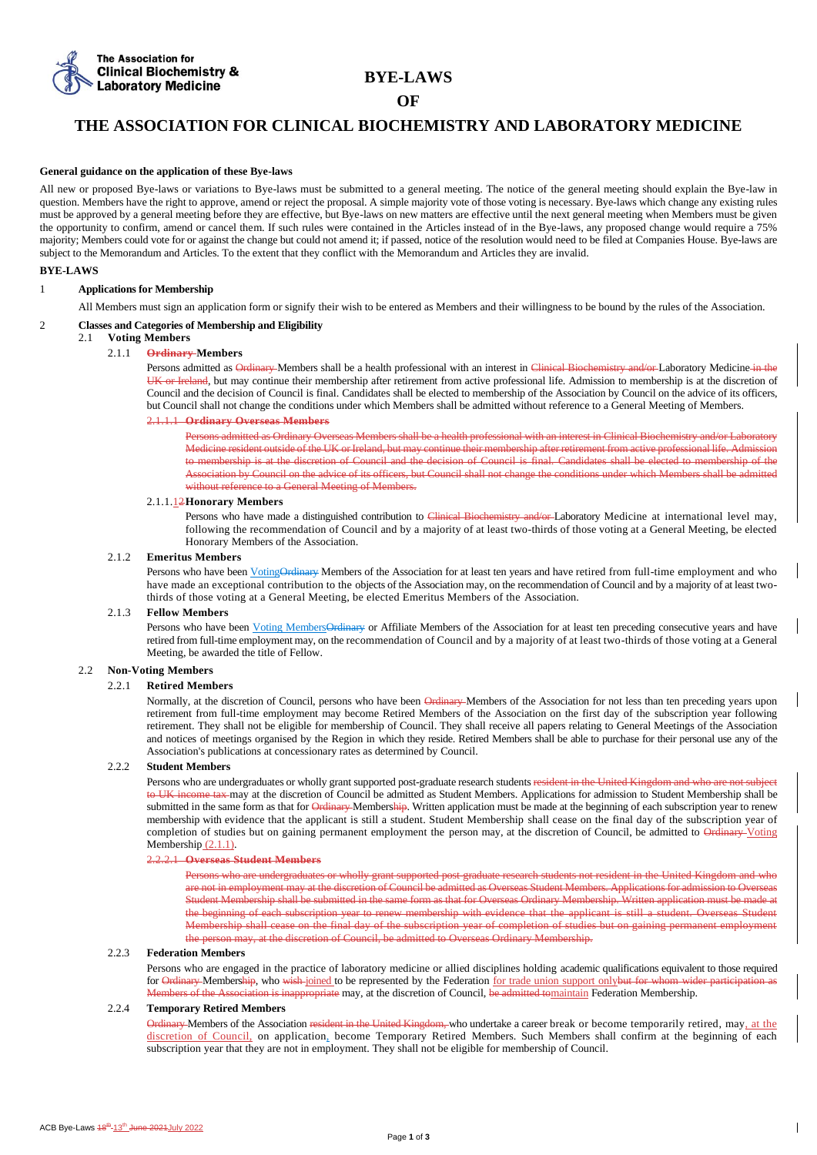

# **BYE-LAWS**

# **OF**

# **THE ASSOCIATION FOR CLINICAL BIOCHEMISTRY AND LABORATORY MEDICINE**

### **General guidance on the application of these Bye-laws**

All new or proposed Bye-laws or variations to Bye-laws must be submitted to a general meeting. The notice of the general meeting should explain the Bye-law in question. Members have the right to approve, amend or reject the proposal. A simple majority vote of those voting is necessary. Bye-laws which change any existing rules must be approved by a general meeting before they are effective, but Bye-laws on new matters are effective until the next general meeting when Members must be given the opportunity to confirm, amend or cancel them. If such rules were contained in the Articles instead of in the Bye-laws, any proposed change would require a 75% majority; Members could vote for or against the change but could not amend it; if passed, notice of the resolution would need to be filed at Companies House. Bye-laws are subject to the Memorandum and Articles. To the extent that they conflict with the Memorandum and Articles they are invalid.

# **BYE-LAWS**

# 1 **Applications for Membership**

All Members must sign an application form or signify their wish to be entered as Members and their willingness to be bound by the rules of the Association.

# 2 **Classes and Categories of Membership and Eligibility**

# 2.1 **Voting Members**

# 2.1.1 **Ordinary Members**

Persons admitted as Ordinary Members shall be a health professional with an interest in Clinical Biochemistry and/or Laboratory Medicine in the UK or Ireland, but may continue their membership after retirement from active professional life. Admission to membership is at the discretion of Council and the decision of Council is final. Candidates shall be elected to membership of the Association by Council on the advice of its officers, but Council shall not change the conditions under which Members shall be admitted without reference to a General Meeting of Members.

# 2.1.1.1 **Ordinary Overseas Members**

Persons admitted as Ordinary Overseas Members shall be a health professional with an interest in Clinical Biochemistry and/or Laboratory Medicine resident outside of the UK or Ireland, but may continue their membership after retirement from active professional life. Admission to membership is at the discretion of Council and the decision of Council is final. Candidates shall be elected to membership of the Association by Council on the advice of its officers, but Council shall not change the conditions under which Members shall be admitted without reference to a General Meeting of Members.

## 2.1.1.12**Honorary Members**

Persons who have made a distinguished contribution to Clinical Biochemistry and/or-Laboratory Medicine at international level may, following the recommendation of Council and by a majority of at least two-thirds of those voting at a General Meeting, be elected Honorary Members of the Association.

#### 2.1.2 **Emeritus Members**

Persons who have been VotingOrdinary Members of the Association for at least ten years and have retired from full-time employment and who have made an exceptional contribution to the objects of the Association may, on the recommendation of Council and by a majority of at least twothirds of those voting at a General Meeting, be elected Emeritus Members of the Association.

### 2.1.3 **Fellow Members**

Persons who have been Voting MembersOrdinary or Affiliate Members of the Association for at least ten preceding consecutive years and have retired from full-time employment may, on the recommendation of Council and by a majority of at least two-thirds of those voting at a General Meeting, be awarded the title of Fellow.

# 2.2 **Non-Voting Members**

# 2.2.1 **Retired Members**

Normally, at the discretion of Council, persons who have been Ordinary Members of the Association for not less than ten preceding years upon retirement from full-time employment may become Retired Members of the Association on the first day of the subscription year following retirement. They shall not be eligible for membership of Council. They shall receive all papers relating to General Meetings of the Association and notices of meetings organised by the Region in which they reside. Retired Members shall be able to purchase for their personal use any of the Association's publications at concessionary rates as determined by Council.

#### 2.2.2 **Student Members**

Persons who are undergraduates or wholly grant supported post-graduate research students resident in the United Kingdom and who are not subject to UK income tax may at the discretion of Council be admitted as Student Members. Applications for admission to Student Membership shall be submitted in the same form as that for Ordinary Membership. Written application must be made at the beginning of each subscription year to renew membership with evidence that the applicant is still a student. Student Membership shall cease on the final day of the subscription year of completion of studies but on gaining permanent employment the person may, at the discretion of Council, be admitted to Ordinary Voting Membership  $(2.1.1)$ .

# 2.2.2.1 **Overseas Student Members**

Persons who are undergraduates or wholly grant supported post-graduate research students not resident in the United Kingdom and who are not in employment may at the discretion of Council be admitted as Overseas Student Members. Applications for admission to Overseas Student Membership shall be submitted in the same form as that for Overseas Ordinary Membership. Written application must be made at the beginning of each subscription year to renew membership with evidence that the applicant is still a student. Overseas Student Membership shall cease on the final day of the subscription year of completion of studies but on gaining permanent employment the person may, at the discretion of Council, be admitted to Overseas Ordinary Membership.

## 2.2.3 **Federation Members**

Persons who are engaged in the practice of laboratory medicine or allied disciplines holding academic qualifications equivalent to those required for Ordinary Membership, who wish-joined to be represented by the Federation for trade union support onlybut for whom wider participation as Members of the Association is inappropriate may, at the discretion of Council, be admitted tomaintain Federation Membership.

#### 2.2.4 **Temporary Retired Members**

Ordinary Members of the Association resident in the United Kingdom, who undertake a career break or become temporarily retired, may, at the discretion of Council, on application, become Temporary Retired Members. Such Members shall confirm at the beginning of each subscription year that they are not in employment. They shall not be eligible for membership of Council.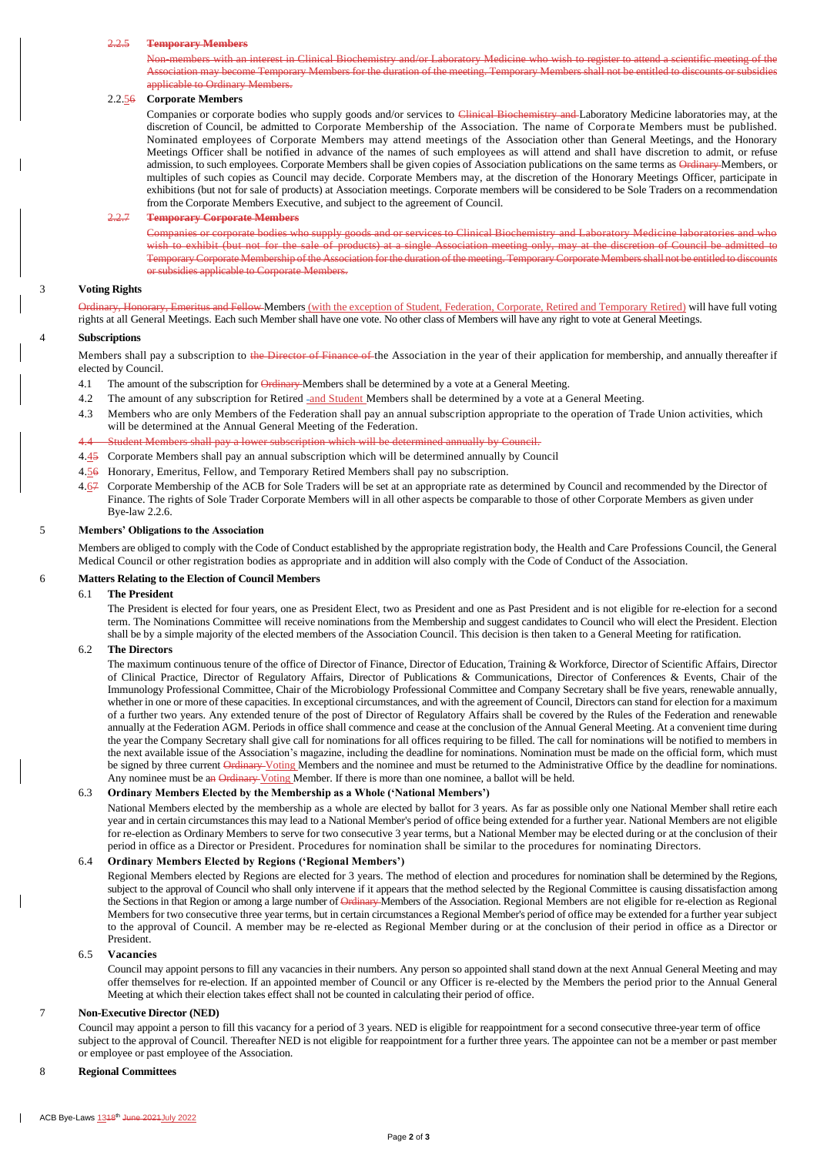#### 2.2.5 **Temporary Members**

Non-members with an interest in Clinical Biochemistry and/or Laboratory Medicine who wish to register to attend a scientific meeting of the Association may become Temporary Members for the duration of the meeting. Temporary Members shall not be entitled to discounts or subsidies applicable to Ordinary Members.

# 2.2.56 **Corporate Members**

Companies or corporate bodies who supply goods and/or services to Clinical Biochemistry and Laboratory Medicine laboratories may, at the discretion of Council, be admitted to Corporate Membership of the Association. The name of Corporate Members must be published. Nominated employees of Corporate Members may attend meetings of the Association other than General Meetings, and the Honorary Meetings Officer shall be notified in advance of the names of such employees as will attend and shall have discretion to admit, or refuse admission, to such employees. Corporate Members shall be given copies of Association publications on the same terms as Ordinary Members, or multiples of such copies as Council may decide. Corporate Members may, at the discretion of the Honorary Meetings Officer, participate in exhibitions (but not for sale of products) at Association meetings. Corporate members will be considered to be Sole Traders on a recommendation from the Corporate Members Executive, and subject to the agreement of Council.

# 2.2.7 **Temporary Corporate Members**

Companies or corporate bodies who supply goods and or services to Clinical Biochemistry and Laboratory Medicine laboratories and who wish to exhibit (but not for the sale of products) at a single Association meeting only, may at the discretion of Council be admitted to Temporary Corporate Membership of the Association for the duration of the meeting. Temporary Corporate Members shall not be entitled to discounts or subsidies applicable to Corporate Members.

### 3 **Voting Rights**

Drary, Emeritus and Fellow Members (with the exception of Student, Federation, Corporate, Retired and Temporary Retired) will have full voting rights at all General Meetings. Each such Member shall have one vote. No other class of Members will have any right to vote at General Meetings.

## 4 **Subscriptions**

Members shall pay a subscription to the Director of Finance of the Association in the year of their application for membership, and annually thereafter if elected by Council.

- 4.1 The amount of the subscription for Ordinary-Members shall be determined by a vote at a General Meeting.
- 4.2 The amount of any subscription for Retired -and Student Members shall be determined by a vote at a General Meeting.
- 4.3 Members who are only Members of the Federation shall pay an annual subscription appropriate to the operation of Trade Union activities, which will be determined at the Annual General Meeting of the Federation.

# 4.4 Student Members shall pay a lower subscription which will be determined annually by Council.

- 4.45 Corporate Members shall pay an annual subscription which will be determined annually by Council
- 4.56 Honorary, Emeritus, Fellow, and Temporary Retired Members shall pay no subscription.
- 4.67 Corporate Membership of the ACB for Sole Traders will be set at an appropriate rate as determined by Council and recommended by the Director of Finance. The rights of Sole Trader Corporate Members will in all other aspects be comparable to those of other Corporate Members as given under Bye-law 2.2.6.

# 5 **Members' Obligations to the Association**

Members are obliged to comply with the Code of Conduct established by the appropriate registration body, the Health and Care Professions Council, the General Medical Council or other registration bodies as appropriate and in addition will also comply with the Code of Conduct of the Association.

# 6 **Matters Relating to the Election of Council Members**

# 6.1 **The President**

The President is elected for four years, one as President Elect, two as President and one as Past President and is not eligible for re-election for a second term. The Nominations Committee will receive nominations from the Membership and suggest candidates to Council who will elect the President. Election shall be by a simple majority of the elected members of the Association Council. This decision is then taken to a General Meeting for ratification.

#### 6.2 **The Directors**

The maximum continuous tenure of the office of Director of Finance, Director of Education, Training & Workforce, Director of Scientific Affairs, Director of Clinical Practice, Director of Regulatory Affairs, Director of Publications & Communications, Director of Conferences & Events, Chair of the Immunology Professional Committee, Chair of the Microbiology Professional Committee and Company Secretary shall be five years, renewable annually, whether in one or more of these capacities. In exceptional circumstances, and with the agreement of Council, Directors can stand for election for a maximum of a further two years. Any extended tenure of the post of Director of Regulatory Affairs shall be covered by the Rules of the Federation and renewable annually at the Federation AGM. Periods in office shall commence and cease at the conclusion of the Annual General Meeting. At a convenient time during the year the Company Secretary shall give call for nominations for all offices requiring to be filled. The call for nominations will be notified to members in the next available issue of the Association's magazine, including the deadline for nominations. Nomination must be made on the official form, which must be signed by three current Ordinary Voting Members and the nominee and must be returned to the Administrative Office by the deadline for nominations. Any nominee must be an Ordinary Voting Member. If there is more than one nominee, a ballot will be held.

# 6.3 **Ordinary Members Elected by the Membership as a Whole ('National Members')**

National Members elected by the membership as a whole are elected by ballot for 3 years. As far as possible only one National Member shall retire each year and in certain circumstances this may lead to a National Member's period of office being extended for a further year. National Members are not eligible for re-election as Ordinary Members to serve for two consecutive 3 year terms, but a National Member may be elected during or at the conclusion of their period in office as a Director or President. Procedures for nomination shall be similar to the procedures for nominating Directors.

# 6.4 **Ordinary Members Elected by Regions ('Regional Members')**

Regional Members elected by Regions are elected for 3 years. The method of election and procedures for nomination shall be determined by the Regions, subject to the approval of Council who shall only intervene if it appears that the method selected by the Regional Committee is causing dissatisfaction among the Sections in that Region or among a large number of Ordinary Members of the Association. Regional Members are not eligible for re-election as Regional Members for two consecutive three year terms, but in certain circumstances a Regional Member's period of office may be extended for a further year subject to the approval of Council. A member may be re-elected as Regional Member during or at the conclusion of their period in office as a Director or President.

#### 6.5 **Vacancies**

Council may appoint persons to fill any vacancies in their numbers. Any person so appointed shall stand down at the next Annual General Meeting and may offer themselves for re-election. If an appointed member of Council or any Officer is re-elected by the Members the period prior to the Annual General Meeting at which their election takes effect shall not be counted in calculating their period of office.

# 7 **Non-Executive Director (NED)**

Council may appoint a person to fill this vacancy for a period of 3 years. NED is eligible for reappointment for a second consecutive three-year term of office subject to the approval of Council. Thereafter NED is not eligible for reappointment for a further three years. The appointee can not be a member or past member or employee or past employee of the Association.

## 8 **Regional Committees**